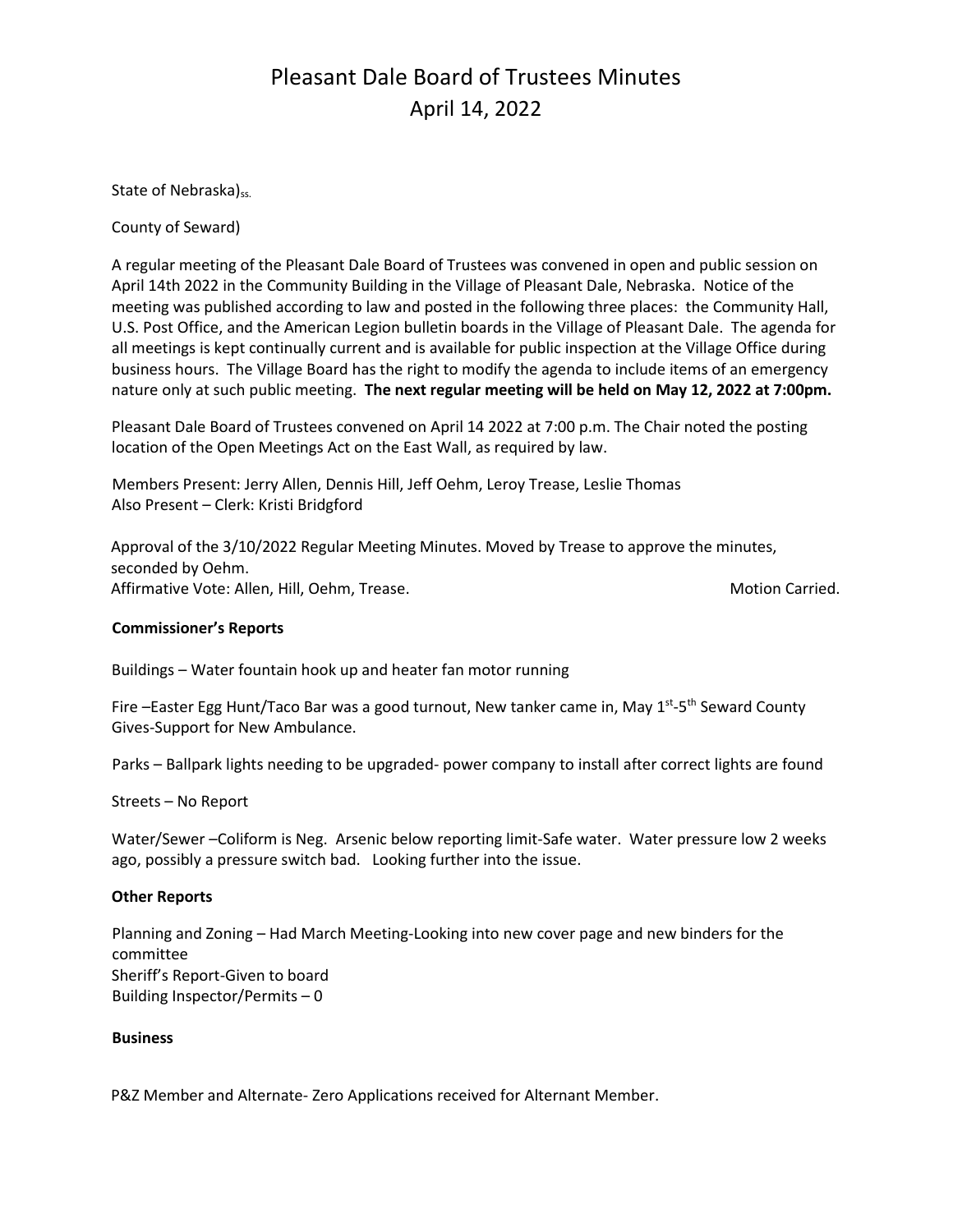## Pleasant Dale Board of Trustees Minutes April 14, 2022

State of Nebraska)<sub>ss.</sub>

County of Seward)

A regular meeting of the Pleasant Dale Board of Trustees was convened in open and public session on April 14th 2022 in the Community Building in the Village of Pleasant Dale, Nebraska. Notice of the meeting was published according to law and posted in the following three places: the Community Hall, U.S. Post Office, and the American Legion bulletin boards in the Village of Pleasant Dale. The agenda for all meetings is kept continually current and is available for public inspection at the Village Office during business hours. The Village Board has the right to modify the agenda to include items of an emergency nature only at such public meeting. **The next regular meeting will be held on May 12, 2022 at 7:00pm.** 

Pleasant Dale Board of Trustees convened on April 14 2022 at 7:00 p.m. The Chair noted the posting location of the Open Meetings Act on the East Wall, as required by law.

Members Present: Jerry Allen, Dennis Hill, Jeff Oehm, Leroy Trease, Leslie Thomas Also Present – Clerk: Kristi Bridgford

Approval of the 3/10/2022 Regular Meeting Minutes. Moved by Trease to approve the minutes, seconded by Oehm. Affirmative Vote: Allen, Hill, Oehm, Trease. Motion Carried. Motion Carried.

### **Commissioner's Reports**

Buildings – Water fountain hook up and heater fan motor running

Fire -Easter Egg Hunt/Taco Bar was a good turnout, New tanker came in, May 1<sup>st</sup>-5<sup>th</sup> Seward County Gives-Support for New Ambulance.

Parks – Ballpark lights needing to be upgraded- power company to install after correct lights are found

Streets – No Report

Water/Sewer –Coliform is Neg. Arsenic below reporting limit-Safe water. Water pressure low 2 weeks ago, possibly a pressure switch bad. Looking further into the issue.

### **Other Reports**

Planning and Zoning – Had March Meeting-Looking into new cover page and new binders for the committee Sheriff's Report-Given to board Building Inspector/Permits – 0

### **Business**

P&Z Member and Alternate- Zero Applications received for Alternant Member.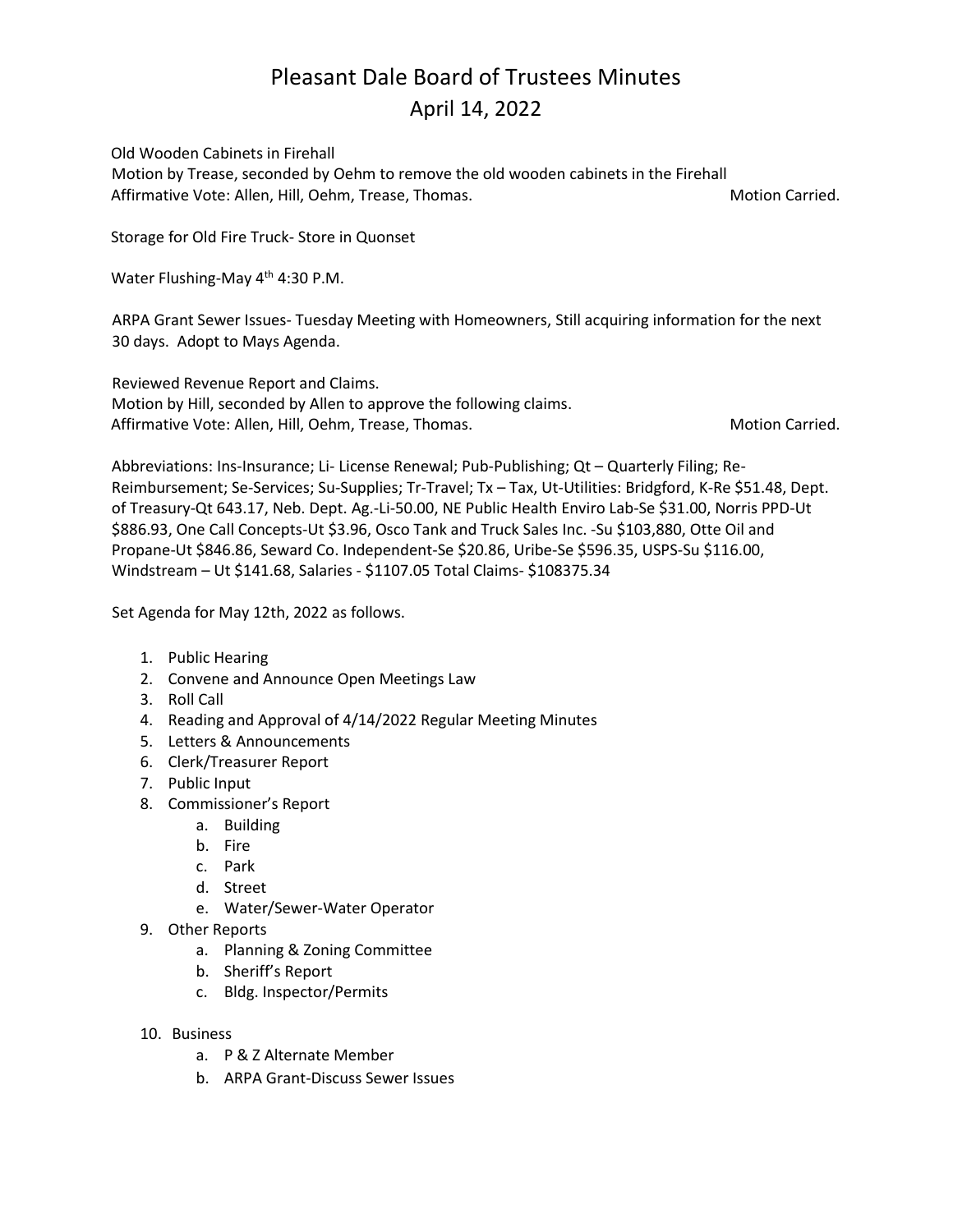### Pleasant Dale Board of Trustees Minutes April 14, 2022

Old Wooden Cabinets in Firehall Motion by Trease, seconded by Oehm to remove the old wooden cabinets in the Firehall Affirmative Vote: Allen, Hill, Oehm, Trease, Thomas. Motion Carried. Motion Carried.

Storage for Old Fire Truck- Store in Quonset

Water Flushing-May 4<sup>th</sup> 4:30 P.M.

ARPA Grant Sewer Issues- Tuesday Meeting with Homeowners, Still acquiring information for the next 30 days. Adopt to Mays Agenda.

Reviewed Revenue Report and Claims. Motion by Hill, seconded by Allen to approve the following claims. Affirmative Vote: Allen, Hill, Oehm, Trease, Thomas. Motion Carried. Motion Carried.

Abbreviations: Ins-Insurance; Li- License Renewal; Pub-Publishing; Qt – Quarterly Filing; Re-Reimbursement; Se-Services; Su-Supplies; Tr-Travel; Tx – Tax, Ut-Utilities: Bridgford, K-Re \$51.48, Dept. of Treasury-Qt 643.17, Neb. Dept. Ag.-Li-50.00, NE Public Health Enviro Lab-Se \$31.00, Norris PPD-Ut \$886.93, One Call Concepts-Ut \$3.96, Osco Tank and Truck Sales Inc. -Su \$103,880, Otte Oil and Propane-Ut \$846.86, Seward Co. Independent-Se \$20.86, Uribe-Se \$596.35, USPS-Su \$116.00, Windstream – Ut \$141.68, Salaries - \$1107.05 Total Claims- \$108375.34

Set Agenda for May 12th, 2022 as follows.

- 1. Public Hearing
- 2. Convene and Announce Open Meetings Law
- 3. Roll Call
- 4. Reading and Approval of 4/14/2022 Regular Meeting Minutes
- 5. Letters & Announcements
- 6. Clerk/Treasurer Report
- 7. Public Input
- 8. Commissioner's Report
	- a. Building
	- b. Fire
	- c. Park
	- d. Street
	- e. Water/Sewer-Water Operator
- 9. Other Reports
	- a. Planning & Zoning Committee
	- b. Sheriff's Report
	- c. Bldg. Inspector/Permits
- 10. Business
	- a. P & Z Alternate Member
	- b. ARPA Grant-Discuss Sewer Issues